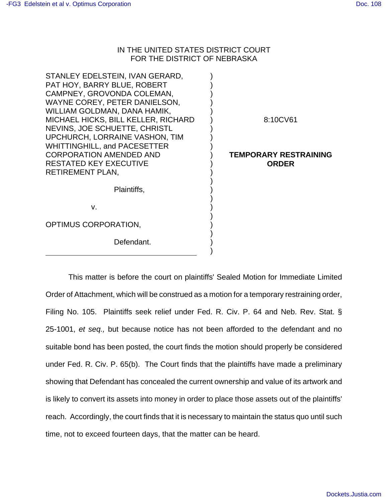## IN THE UNITED STATES DISTRICT COURT FOR THE DISTRICT OF NEBRASKA

| STANLEY EDELSTEIN, IVAN GERARD,<br>PAT HOY, BARRY BLUE, ROBERT<br>CAMPNEY, GROVONDA COLEMAN,                                                                            |                                              |
|-------------------------------------------------------------------------------------------------------------------------------------------------------------------------|----------------------------------------------|
| WAYNE COREY, PETER DANIELSON,<br>WILLIAM GOLDMAN, DANA HAMIK,<br>MICHAEL HICKS, BILL KELLER, RICHARD<br>NEVINS, JOE SCHUETTE, CHRISTL<br>UPCHURCH, LORRAINE VASHON, TIM | 8:10CV61                                     |
| <b>WHITTINGHILL, and PACESETTER</b><br><b>CORPORATION AMENDED AND</b><br><b>RESTATED KEY EXECUTIVE</b><br>RETIREMENT PLAN,                                              | <b>TEMPORARY RESTRAINING</b><br><b>ORDER</b> |
| Plaintiffs,                                                                                                                                                             |                                              |
| V.                                                                                                                                                                      |                                              |
| OPTIMUS CORPORATION,                                                                                                                                                    |                                              |
| Defendant.                                                                                                                                                              |                                              |
|                                                                                                                                                                         |                                              |

This matter is before the court on plaintiffs' Sealed Motion for Immediate Limited Order of Attachment, which will be construed as a motion for a temporary restraining order, Filing No. 105. Plaintiffs seek relief under Fed. R. Civ. P. 64 and Neb. Rev. Stat. § 25-1001, et seq., but because notice has not been afforded to the defendant and no suitable bond has been posted, the court finds the motion should properly be considered under Fed. R. Civ. P. 65(b). The Court finds that the plaintiffs have made a preliminary showing that Defendant has concealed the current ownership and value of its artwork and is likely to convert its assets into money in order to place those assets out of the plaintiffs' reach. Accordingly, the court finds that it is necessary to maintain the status quo until such time, not to exceed fourteen days, that the matter can be heard.